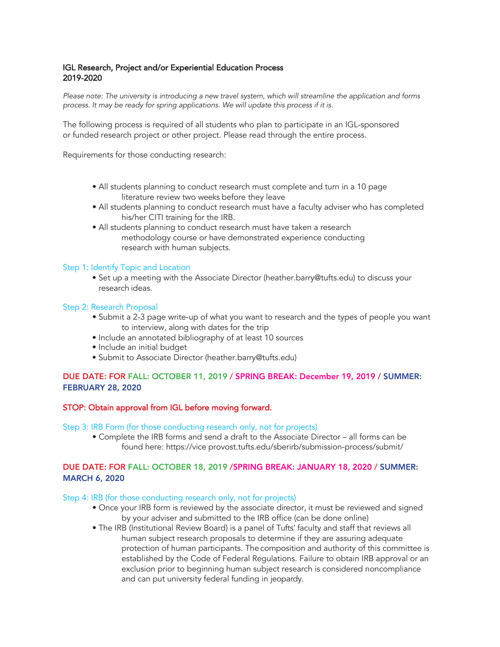# IGL Research, Project and/or Experiential Education Process 2019-2020

*Please note: The university is introducing a new travel system, which will streamline the application and forms process. It may be ready for spring applications. We will update this process if it is.*

The following process is required of all students who plan to participate in an IGL-sponsored or funded research project or other project. Please read through the entire process.

Requirements for those conducting research:

- All students planning to conduct research must complete and turn in a 10 page literature review two weeks before they leave
- All students planning to conduct research must have a faculty adviser who has completed his/her CITI training for the IRB.
- All students planning to conduct research must have taken a research methodology course or have demonstrated experience conducting research with human subjects.

### Step 1: Identify Topic and Location

• Set up a meeting with the Associate Director (heather.barry@tufts.edu) to discuss your research ideas.

#### Step 2: Research Proposal

- Submit a 2-3 page write-up of what you want to research and the types of people you want to interview, along with dates for the trip
- Include an annotated bibliography of at least 10 sources
- Include an initial budget
- Submit to Associate Director (heather.barry@tufts.edu)

### DUE DATE: FOR FALL: OCTOBER 11, 2019 / SPRING BREAK: December 19, 2019 / SUMMER: FEBRUARY 28, 2020

### STOP: Obtain approval from IGL before moving forward.

Step 3: IRB Form (for those conducting research only, not for projects)

• Complete the IRB forms and send a draft to the Associate Director – all forms can be found here: https://vice provost.tufts.edu/sberirb/submission-process/submit/

# DUE DATE: FOR FALL: OCTOBER 18, 2019 /SPRING BREAK: JANUARY 18, 2020 / SUMMER: MARCH 6, 2020

#### Step 4: IRB (for those conducting research only, not for projects)

- Once your IRB form is reviewed by the associate director, it must be reviewed and signed by your adviser and submitted to the IRB office (can be done online)
- The IRB (Institutional Review Board) is a panel of Tufts' faculty and staff that reviews all human subject research proposals to determine if they are assuring adequate protection of human participants. The composition and authority of this committee is established by the Code of Federal Regulations. Failure to obtain IRB approval or an exclusion prior to beginning human subject research is considered noncompliance and can put university federal funding in jeopardy.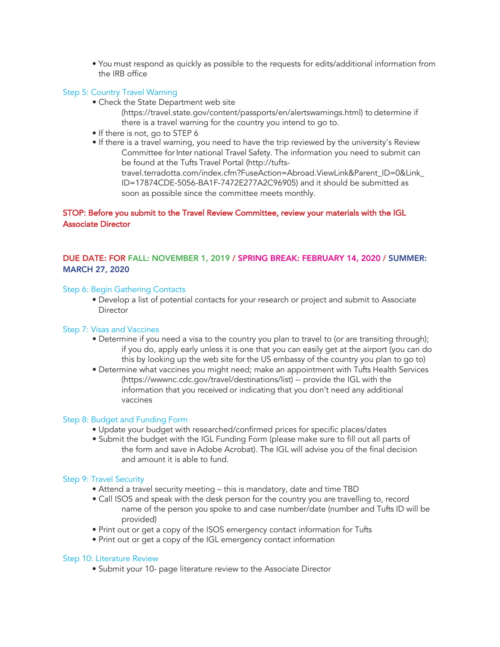• You must respond as quickly as possible to the requests for edits/additional information from the IRB office

### Step 5: Country Travel Warning

• Check the State Department web site

(https://travel.state.gov/content/passports/en/alertswarnings.html) to determine if there is a travel warning for the country you intend to go to.

- If there is not, go to STEP 6
- If there is a travel warning, you need to have the trip reviewed by the university's Review Committee for Inter national Travel Safety. The information you need to submit can be found at the Tufts Travel Portal (http://tuftstravel.terradotta.com/index.cfm?FuseAction=Abroad.ViewLink&Parent\_ID=0&Link\_ ID=17874CDE-5056-BA1F-7472E277A2C96905) and it should be submitted as

# STOP: Before you submit to the Travel Review Committee, review your materials with the IGL Associate Director

soon as possible since the committee meets monthly.

# DUE DATE: FOR FALL: NOVEMBER 1, 2019 / SPRING BREAK: FEBRUARY 14, 2020 / SUMMER: MARCH 27, 2020

### Step 6: Begin Gathering Contacts

• Develop a list of potential contacts for your research or project and submit to Associate **Director** 

### Step 7: Visas and Vaccines

- Determine if you need a visa to the country you plan to travel to (or are transiting through); if you do, apply early unless it is one that you can easily get at the airport (you can do this by looking up the web site for the US embassy of the country you plan to go to)
- Determine what vaccines you might need; make an appointment with Tufts Health Services (https://wwwnc.cdc.gov/travel/destinations/list) -- provide the IGL with the information that you received or indicating that you don't need any additional vaccines

#### Step 8: Budget and Funding Form

- Update your budget with researched/confirmed prices for specific places/dates
- Submit the budget with the IGL Funding Form (please make sure to fill out all parts of the form and save in Adobe Acrobat). The IGL will advise you of the final decision and amount it is able to fund.

### Step 9: Travel Security

- Attend a travel security meeting this is mandatory, date and time TBD
- Call ISOS and speak with the desk person for the country you are travelling to, record name of the person you spoke to and case number/date (number and Tufts ID will be provided)
- Print out or get a copy of the ISOS emergency contact information for Tufts
- Print out or get a copy of the IGL emergency contact information

#### Step 10: Literature Review

• Submit your 10- page literature review to the Associate Director